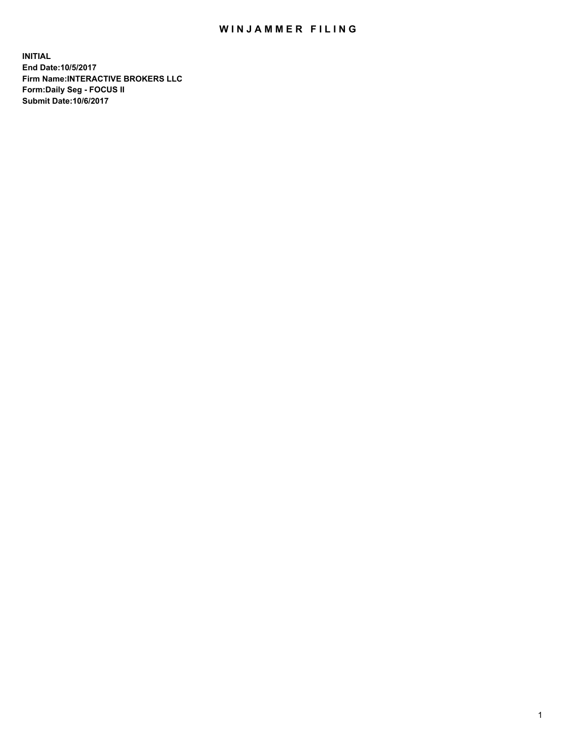## WIN JAMMER FILING

**INITIAL End Date:10/5/2017 Firm Name:INTERACTIVE BROKERS LLC Form:Daily Seg - FOCUS II Submit Date:10/6/2017**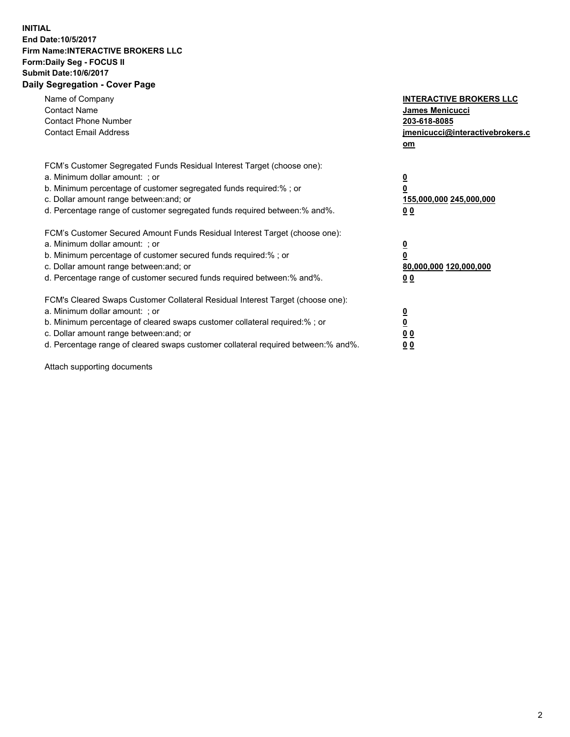## **INITIAL End Date:10/5/2017 Firm Name:INTERACTIVE BROKERS LLC Form:Daily Seg - FOCUS II Submit Date:10/6/2017 Daily Segregation - Cover Page**

| Name of Company<br><b>Contact Name</b><br><b>Contact Phone Number</b><br><b>Contact Email Address</b>                                                                                                                                                                                                                          | <b>INTERACTIVE BROKERS LLC</b><br><b>James Menicucci</b><br>203-618-8085<br>jmenicucci@interactivebrokers.c<br>om |
|--------------------------------------------------------------------------------------------------------------------------------------------------------------------------------------------------------------------------------------------------------------------------------------------------------------------------------|-------------------------------------------------------------------------------------------------------------------|
| FCM's Customer Segregated Funds Residual Interest Target (choose one):<br>a. Minimum dollar amount: ; or<br>b. Minimum percentage of customer segregated funds required:%; or<br>c. Dollar amount range between: and; or<br>d. Percentage range of customer segregated funds required between:% and%.                          | $\overline{\mathbf{0}}$<br>0<br>155,000,000 245,000,000<br>0 <sub>0</sub>                                         |
| FCM's Customer Secured Amount Funds Residual Interest Target (choose one):<br>a. Minimum dollar amount: ; or<br>b. Minimum percentage of customer secured funds required:%; or<br>c. Dollar amount range between: and; or<br>d. Percentage range of customer secured funds required between: % and %.                          | $\overline{\mathbf{0}}$<br>0<br>80,000,000 120,000,000<br>0 <sub>0</sub>                                          |
| FCM's Cleared Swaps Customer Collateral Residual Interest Target (choose one):<br>a. Minimum dollar amount: ; or<br>b. Minimum percentage of cleared swaps customer collateral required:% ; or<br>c. Dollar amount range between: and; or<br>d. Percentage range of cleared swaps customer collateral required between:% and%. | $\overline{\mathbf{0}}$<br>$\overline{\mathbf{0}}$<br>0 <sub>0</sub><br><u>00</u>                                 |

Attach supporting documents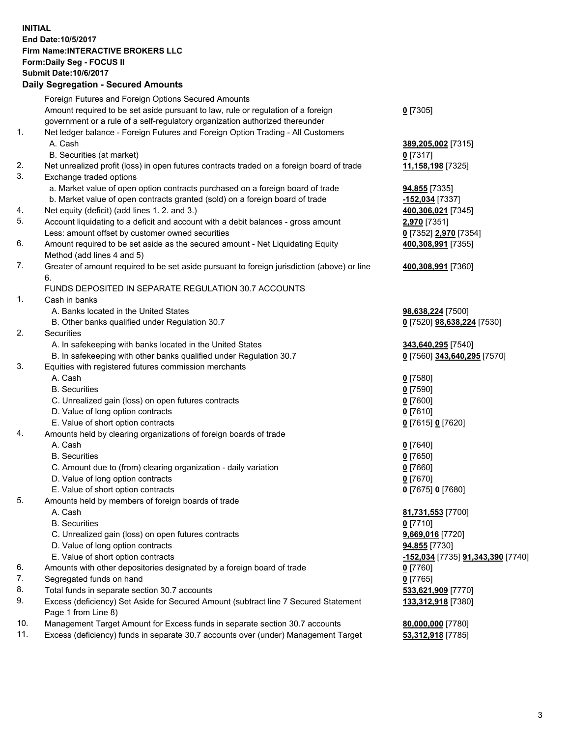## **INITIAL End Date:10/5/2017 Firm Name:INTERACTIVE BROKERS LLC Form:Daily Seg - FOCUS II Submit Date:10/6/2017 Daily Segregation - Secured Amounts**

|     | <u> Dany Ocymgyation - Occurea Announts</u>                                                 |                                                   |
|-----|---------------------------------------------------------------------------------------------|---------------------------------------------------|
|     | Foreign Futures and Foreign Options Secured Amounts                                         |                                                   |
|     | Amount required to be set aside pursuant to law, rule or regulation of a foreign            | $0$ [7305]                                        |
|     | government or a rule of a self-regulatory organization authorized thereunder                |                                                   |
| 1.  | Net ledger balance - Foreign Futures and Foreign Option Trading - All Customers             |                                                   |
|     | A. Cash                                                                                     | 389,205,002 [7315]                                |
|     | B. Securities (at market)                                                                   | $0$ [7317]                                        |
| 2.  | Net unrealized profit (loss) in open futures contracts traded on a foreign board of trade   | 11,158,198 [7325]                                 |
| 3.  | Exchange traded options                                                                     |                                                   |
|     | a. Market value of open option contracts purchased on a foreign board of trade              | <b>94,855</b> [7335]                              |
|     | b. Market value of open contracts granted (sold) on a foreign board of trade                | -152,034 [7337]                                   |
| 4.  | Net equity (deficit) (add lines 1.2. and 3.)                                                | 400,306,021 [7345]                                |
| 5.  | Account liquidating to a deficit and account with a debit balances - gross amount           | 2,970 [7351]                                      |
|     | Less: amount offset by customer owned securities                                            | 0 [7352] 2,970 [7354]                             |
| 6.  | Amount required to be set aside as the secured amount - Net Liquidating Equity              | 400,308,991 [7355]                                |
|     | Method (add lines 4 and 5)                                                                  |                                                   |
| 7.  | Greater of amount required to be set aside pursuant to foreign jurisdiction (above) or line | 400,308,991 [7360]                                |
|     | 6.                                                                                          |                                                   |
|     | FUNDS DEPOSITED IN SEPARATE REGULATION 30.7 ACCOUNTS                                        |                                                   |
| 1.  | Cash in banks                                                                               |                                                   |
|     | A. Banks located in the United States                                                       | 98,638,224 [7500]                                 |
|     | B. Other banks qualified under Regulation 30.7                                              | 0 [7520] 98,638,224 [7530]                        |
| 2.  | Securities                                                                                  |                                                   |
|     |                                                                                             |                                                   |
|     | A. In safekeeping with banks located in the United States                                   | 343,640,295 [7540]<br>0 [7560] 343,640,295 [7570] |
| 3.  | B. In safekeeping with other banks qualified under Regulation 30.7                          |                                                   |
|     | Equities with registered futures commission merchants                                       |                                                   |
|     | A. Cash                                                                                     | $0$ [7580]                                        |
|     | <b>B.</b> Securities                                                                        | $0$ [7590]                                        |
|     | C. Unrealized gain (loss) on open futures contracts                                         | $0$ [7600]                                        |
|     | D. Value of long option contracts                                                           | $0$ [7610]                                        |
|     | E. Value of short option contracts                                                          | 0 [7615] 0 [7620]                                 |
| 4.  | Amounts held by clearing organizations of foreign boards of trade                           |                                                   |
|     | A. Cash                                                                                     | $0$ [7640]                                        |
|     | <b>B.</b> Securities                                                                        | $0$ [7650]                                        |
|     | C. Amount due to (from) clearing organization - daily variation                             | $0$ [7660]                                        |
|     | D. Value of long option contracts                                                           | $0$ [7670]                                        |
|     | E. Value of short option contracts                                                          | 0 [7675] 0 [7680]                                 |
| 5.  | Amounts held by members of foreign boards of trade                                          |                                                   |
|     | A. Cash                                                                                     | 81,731,553 [7700]                                 |
|     | <b>B.</b> Securities                                                                        | $0$ [7710]                                        |
|     | C. Unrealized gain (loss) on open futures contracts                                         | 9,669,016 [7720]                                  |
|     | D. Value of long option contracts                                                           | 94,855 [7730]                                     |
|     | E. Value of short option contracts                                                          | -152,034 [7735] 91,343,390 [7740]                 |
| 6.  | Amounts with other depositories designated by a foreign board of trade                      | 0 [7760]                                          |
| 7.  | Segregated funds on hand                                                                    | $0$ [7765]                                        |
| 8.  | Total funds in separate section 30.7 accounts                                               | 533,621,909 [7770]                                |
| 9.  | Excess (deficiency) Set Aside for Secured Amount (subtract line 7 Secured Statement         | 133,312,918 [7380]                                |
|     | Page 1 from Line 8)                                                                         |                                                   |
| 10. | Management Target Amount for Excess funds in separate section 30.7 accounts                 | 80,000,000 [7780]                                 |
| 11. | Excess (deficiency) funds in separate 30.7 accounts over (under) Management Target          | 53,312,918 [7785]                                 |
|     |                                                                                             |                                                   |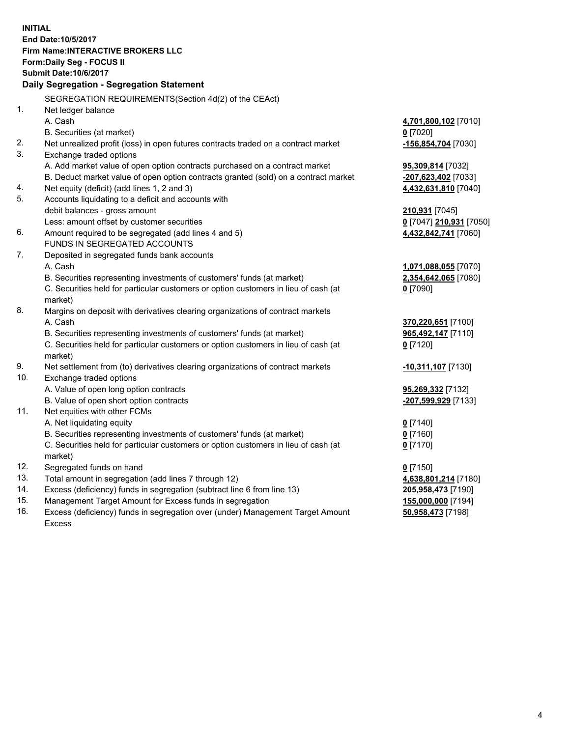**INITIAL End Date:10/5/2017 Firm Name:INTERACTIVE BROKERS LLC Form:Daily Seg - FOCUS II Submit Date:10/6/2017 Daily Segregation - Segregation Statement** SEGREGATION REQUIREMENTS(Section 4d(2) of the CEAct) 1. Net ledger balance A. Cash **4,701,800,102** [7010] B. Securities (at market) **0** [7020] 2. Net unrealized profit (loss) in open futures contracts traded on a contract market **-156,854,704** [7030] 3. Exchange traded options A. Add market value of open option contracts purchased on a contract market **95,309,814** [7032] B. Deduct market value of open option contracts granted (sold) on a contract market **-207,623,402** [7033] 4. Net equity (deficit) (add lines 1, 2 and 3) **4,432,631,810** [7040] 5. Accounts liquidating to a deficit and accounts with debit balances - gross amount **210,931** [7045] Less: amount offset by customer securities **0** [7047] **210,931** [7050] 6. Amount required to be segregated (add lines 4 and 5) **4,432,842,741** [7060] FUNDS IN SEGREGATED ACCOUNTS 7. Deposited in segregated funds bank accounts A. Cash **1,071,088,055** [7070] B. Securities representing investments of customers' funds (at market) **2,354,642,065** [7080] C. Securities held for particular customers or option customers in lieu of cash (at market) **0** [7090] 8. Margins on deposit with derivatives clearing organizations of contract markets A. Cash **370,220,651** [7100] B. Securities representing investments of customers' funds (at market) **965,492,147** [7110] C. Securities held for particular customers or option customers in lieu of cash (at market) **0** [7120] 9. Net settlement from (to) derivatives clearing organizations of contract markets **-10,311,107** [7130] 10. Exchange traded options A. Value of open long option contracts **95,269,332** [7132] B. Value of open short option contracts **-207,599,929** [7133] 11. Net equities with other FCMs A. Net liquidating equity **0** [7140] B. Securities representing investments of customers' funds (at market) **0** [7160] C. Securities held for particular customers or option customers in lieu of cash (at market) **0** [7170] 12. Segregated funds on hand **0** [7150] 13. Total amount in segregation (add lines 7 through 12) **4,638,801,214** [7180] 14. Excess (deficiency) funds in segregation (subtract line 6 from line 13) **205,958,473** [7190] 15. Management Target Amount for Excess funds in segregation **155,000,000** [7194] 16. Excess (deficiency) funds in segregation over (under) Management Target Amount **50,958,473** [7198]

Excess